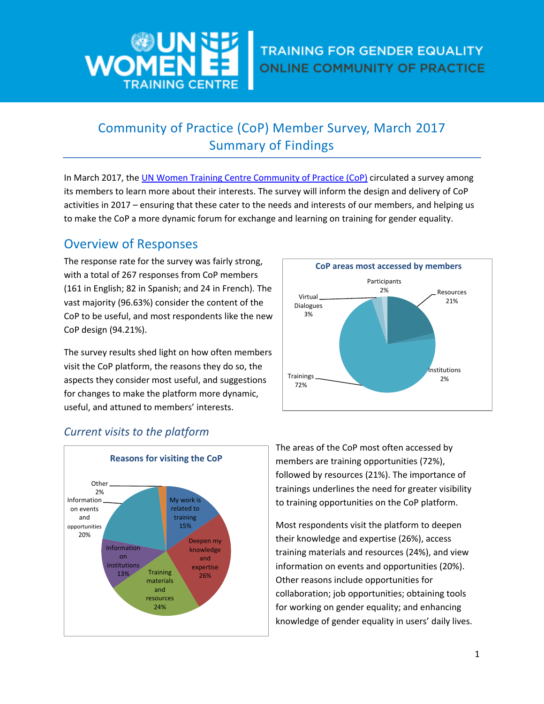

# Community of Practice (CoP) Member Survey, March 2017 Summary of Findings

In March 2017, the UN [Women Training Centre Community of Practice \(CoP\)](https://trainingcentre.unwomen.org/course/view.php?id=67&lang=en) circulated a survey among its members to learn more about their interests. The survey will inform the design and delivery of CoP activities in 2017 – ensuring that these cater to the needs and interests of our members, and helping us to make the CoP a more dynamic forum for exchange and learning on training for gender equality.

# Overview of Responses

The response rate for the survey was fairly strong, with a total of 267 responses from CoP members (161 in English; 82 in Spanish; and 24 in French). The vast majority (96.63%) consider the content of the CoP to be useful, and most respondents like the new CoP design (94.21%).

The survey results shed light on how often members visit the CoP platform, the reasons they do so, the aspects they consider most useful, and suggestions for changes to make the platform more dynamic, useful, and attuned to members' interests.



## *Current visits to the platform*



The areas of the CoP most often accessed by members are training opportunities (72%), followed by resources (21%). The importance of trainings underlines the need for greater visibility to training opportunities on the CoP platform.

Most respondents visit the platform to deepen their knowledge and expertise (26%), access training materials and resources (24%), and view information on events and opportunities (20%). Other reasons include opportunities for collaboration; job opportunities; obtaining tools for working on gender equality; and enhancing knowledge of gender equality in users' daily lives.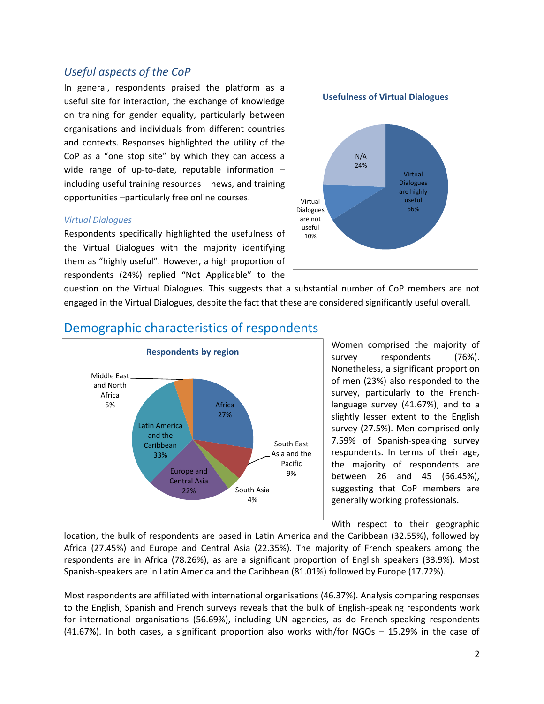### *Useful aspects of the CoP*

In general, respondents praised the platform as a useful site for interaction, the exchange of knowledge on training for gender equality, particularly between organisations and individuals from different countries and contexts. Responses highlighted the utility of the CoP as a "one stop site" by which they can access a wide range of up-to-date, reputable information – including useful training resources – news, and training opportunities –particularly free online courses.

#### *Virtual Dialogues*

Respondents specifically highlighted the usefulness of the Virtual Dialogues with the majority identifying them as "highly useful". However, a high proportion of respondents (24%) replied "Not Applicable" to the



question on the Virtual Dialogues. This suggests that a substantial number of CoP members are not engaged in the Virtual Dialogues, despite the fact that these are considered significantly useful overall.



### Demographic characteristics of respondents

Women comprised the majority of survey respondents (76%). Nonetheless, a significant proportion of men (23%) also responded to the survey, particularly to the Frenchlanguage survey (41.67%), and to a slightly lesser extent to the English survey (27.5%). Men comprised only 7.59% of Spanish-speaking survey respondents. In terms of their age, the majority of respondents are between 26 and 45 (66.45%), suggesting that CoP members are generally working professionals.

With respect to their geographic

location, the bulk of respondents are based in Latin America and the Caribbean (32.55%), followed by Africa (27.45%) and Europe and Central Asia (22.35%). The majority of French speakers among the respondents are in Africa (78.26%), as are a significant proportion of English speakers (33.9%). Most Spanish-speakers are in Latin America and the Caribbean (81.01%) followed by Europe (17.72%).

Most respondents are affiliated with international organisations (46.37%). Analysis comparing responses to the English, Spanish and French surveys reveals that the bulk of English-speaking respondents work for international organisations (56.69%), including UN agencies, as do French-speaking respondents (41.67%). In both cases, a significant proportion also works with/for NGOs – 15.29% in the case of